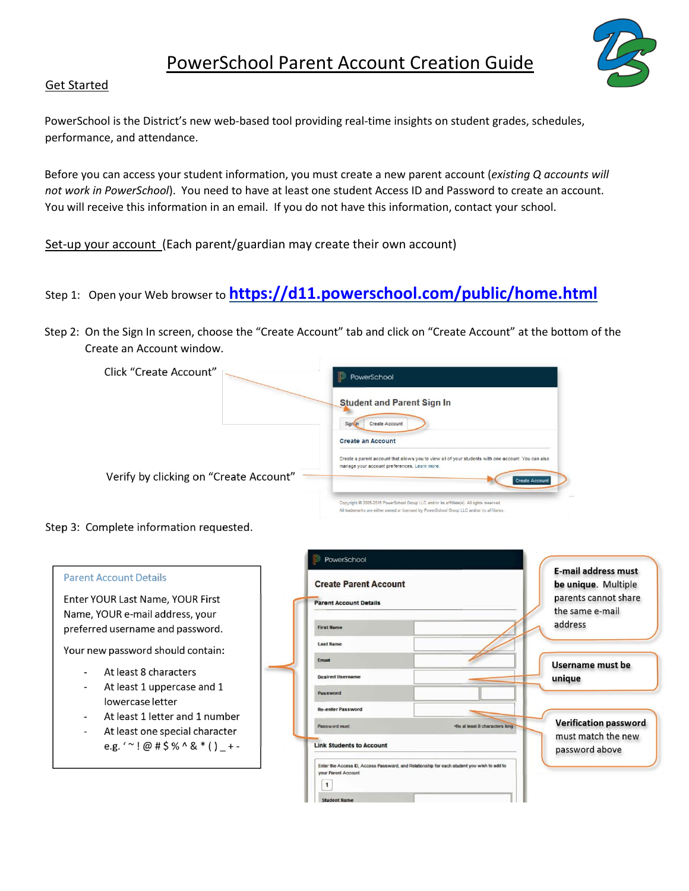

## Get Started

PowerSchool is the District's new web‐based tool providing real‐time insights on student grades, schedules, performance, and attendance.

Before you can access your student information, you must create a new parent account (*existing Q accounts will not work in PowerSchool*). You need to have at least one student Access ID and Password to create an account. You will receive this information in an email. If you do not have this information, contact your school.

Set-up your account (Each parent/guardian may create their own account)

- Step 1: Open your Web browser to **https://d11.powerschool.com/public/home.html**
- Step 2: On the Sign In screen, choose the "Create Account" tab and click on "Create Account" at the bottom of the Create an Account window.

| Click "Create Account"                 | PowerSchool                                                                                                                                                                              |  |  |  |  |  |  |  |
|----------------------------------------|------------------------------------------------------------------------------------------------------------------------------------------------------------------------------------------|--|--|--|--|--|--|--|
|                                        | <b>Student and Parent Sign In</b>                                                                                                                                                        |  |  |  |  |  |  |  |
| Verify by clicking on "Create Account" | Create Account<br>Sign In<br><b>Create an Account</b><br>Create a parent account that allows you to view all of your students with one account. You can also                             |  |  |  |  |  |  |  |
|                                        | manage your account preferences. Learn more.<br><b>Create Account</b>                                                                                                                    |  |  |  |  |  |  |  |
|                                        | Copyright @ 2005-2016 PowerSchool Group LLC and/or its affiliate(s). All rights reserved.<br>All trademarks are either owned or licensed by PowerSohool Group LLC and/or its affiliates. |  |  |  |  |  |  |  |

## Step 3: Complete information requested.

|                                                                                      | PowerSchool                                                                                                             | <b>E-mail address must</b>           |
|--------------------------------------------------------------------------------------|-------------------------------------------------------------------------------------------------------------------------|--------------------------------------|
| <b>Parent Account Details</b>                                                        | <b>Create Parent Account</b>                                                                                            |                                      |
| Enter YOUR Last Name, YOUR First                                                     | <b>Parent Account Details</b>                                                                                           | parents cannot share                 |
| Name, YOUR e-mail address, your                                                      |                                                                                                                         | the same e-mail                      |
| preferred username and password.                                                     | <b>First Name</b>                                                                                                       | address                              |
| Your new password should contain:                                                    | <b>Last Name</b>                                                                                                        |                                      |
|                                                                                      | Ernail                                                                                                                  | Username must be                     |
| At least 8 characters<br>$\overline{\phantom{a}}$                                    | <b>Desired Username</b>                                                                                                 | unique                               |
| At least 1 uppercase and 1<br>$\overline{\phantom{a}}$                               | Password                                                                                                                |                                      |
| lowercase letter                                                                     | <b>Re-enter Password</b>                                                                                                |                                      |
| At least 1 letter and 1 number<br>$\blacksquare$                                     | Password must<br>-Be at least 8 characters long                                                                         | <b>Verification password</b>         |
| At least one special character<br>$\blacksquare$<br>e.g. ' ~ ! @ # \$ % ^ & * () + - | <b>Link Students to Account</b>                                                                                         | must match the new<br>password above |
|                                                                                      | Enter the Access D, Access Password, and Relationship for each student you wish to add to<br><b>vour Parent Account</b> |                                      |
|                                                                                      | <b>Student Name</b>                                                                                                     |                                      |